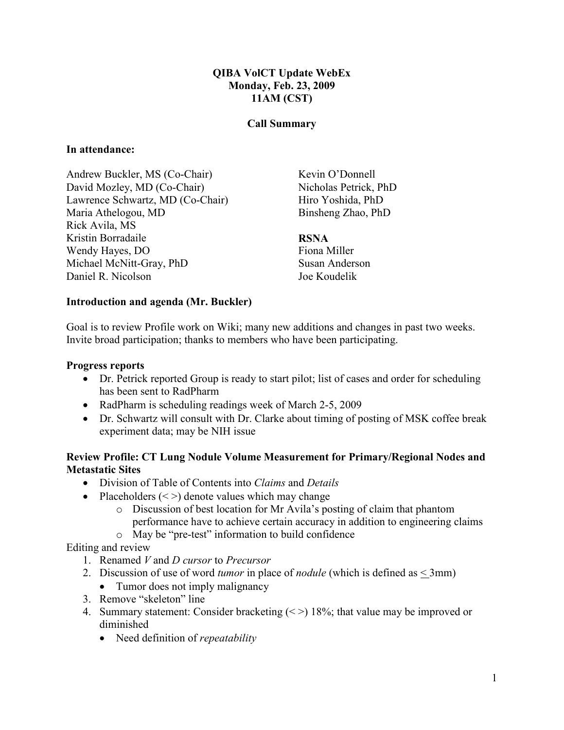# QIBA VolCT Update WebEx Monday, Feb. 23, 2009 11AM (CST)

### Call Summary

### In attendance:

Andrew Buckler, MS (Co-Chair) David Mozley, MD (Co-Chair) Lawrence Schwartz, MD (Co-Chair) Maria Athelogou, MD Rick Avila, MS Kristin Borradaile Wendy Hayes, DO Michael McNitt-Gray, PhD Daniel R. Nicolson

Kevin O'Donnell Nicholas Petrick, PhD Hiro Yoshida, PhD Binsheng Zhao, PhD

#### RSNA

Fiona Miller Susan Anderson Joe Koudelik

#### Introduction and agenda (Mr. Buckler)

Goal is to review Profile work on Wiki; many new additions and changes in past two weeks. Invite broad participation; thanks to members who have been participating.

#### Progress reports

- Dr. Petrick reported Group is ready to start pilot; list of cases and order for scheduling has been sent to RadPharm
- RadPharm is scheduling readings week of March 2-5, 2009
- Dr. Schwartz will consult with Dr. Clarke about timing of posting of MSK coffee break experiment data; may be NIH issue

## Review Profile: CT Lung Nodule Volume Measurement for Primary/Regional Nodes and Metastatic Sites

- Division of Table of Contents into *Claims* and *Details*
- Placeholders  $(<)$  denote values which may change
	- o Discussion of best location for Mr Avila's posting of claim that phantom performance have to achieve certain accuracy in addition to engineering claims
	- o May be "pre-test" information to build confidence

### Editing and review

- 1. Renamed V and D cursor to Precursor
- 2. Discussion of use of word *tumor* in place of *nodule* (which is defined as  $\leq$  3mm)
	- Tumor does not imply malignancy
- 3. Remove "skeleton" line
- 4. Summary statement: Consider bracketing  $\langle \rangle$  18%; that value may be improved or diminished
	- Need definition of *repeatability*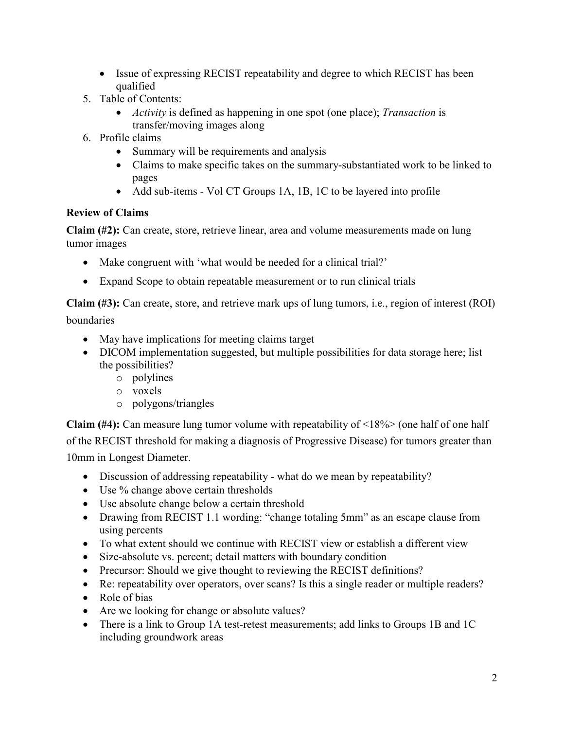- Issue of expressing RECIST repeatability and degree to which RECIST has been qualified
- 5. Table of Contents:
	- Activity is defined as happening in one spot (one place); Transaction is transfer/moving images along
- 6. Profile claims
	- Summary will be requirements and analysis
	- Claims to make specific takes on the summary-substantiated work to be linked to pages
	- Add sub-items Vol CT Groups 1A, 1B, 1C to be layered into profile

# Review of Claims

Claim (#2): Can create, store, retrieve linear, area and volume measurements made on lung tumor images

- Make congruent with 'what would be needed for a clinical trial?'
- Expand Scope to obtain repeatable measurement or to run clinical trials

Claim (#3): Can create, store, and retrieve mark ups of lung tumors, i.e., region of interest (ROI)

boundaries

- May have implications for meeting claims target
- DICOM implementation suggested, but multiple possibilities for data storage here; list the possibilities?
	- o polylines
	- o voxels
	- o polygons/triangles

**Claim (#4):** Can measure lung tumor volume with repeatability of  $\langle 18\% \rangle$  (one half of one half of the RECIST threshold for making a diagnosis of Progressive Disease) for tumors greater than 10mm in Longest Diameter.

- Discussion of addressing repeatability what do we mean by repeatability?
- Use % change above certain thresholds
- Use absolute change below a certain threshold
- Drawing from RECIST 1.1 wording: "change totaling 5mm" as an escape clause from using percents
- To what extent should we continue with RECIST view or establish a different view
- Size-absolute vs. percent; detail matters with boundary condition
- Precursor: Should we give thought to reviewing the RECIST definitions?
- Re: repeatability over operators, over scans? Is this a single reader or multiple readers?
- Role of bias
- Are we looking for change or absolute values?
- There is a link to Group 1A test-retest measurements; add links to Groups 1B and 1C including groundwork areas